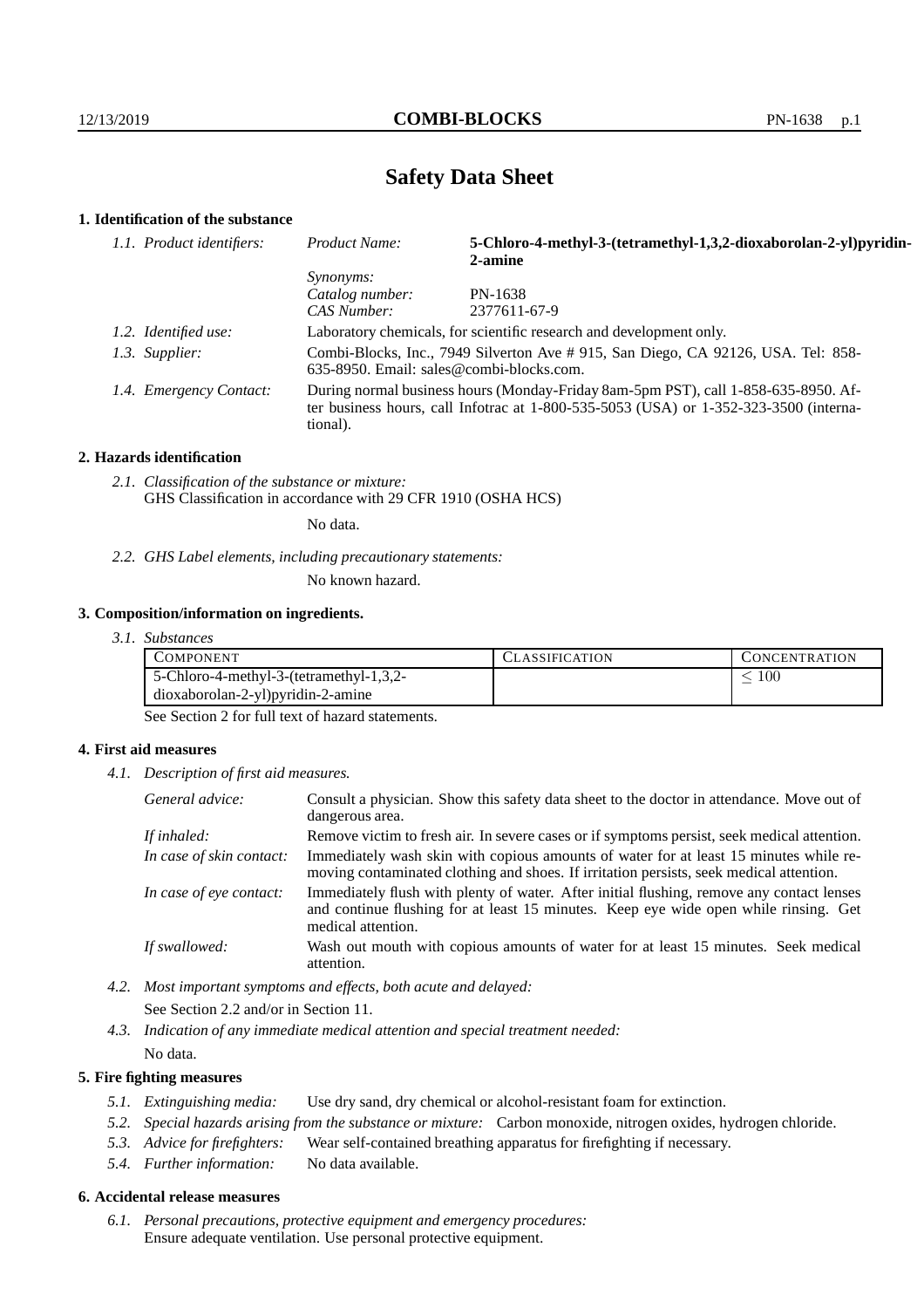# **Safety Data Sheet**

## **1. Identification of the substance**

| 1.1. Product identifiers: | Product Name:                                                                                                                                                                           | 5-Chloro-4-methyl-3-(tetramethyl-1,3,2-dioxaborolan-2-yl)pyridin-<br>2-amine |
|---------------------------|-----------------------------------------------------------------------------------------------------------------------------------------------------------------------------------------|------------------------------------------------------------------------------|
|                           | <i>Synonyms:</i>                                                                                                                                                                        |                                                                              |
|                           | Catalog number:                                                                                                                                                                         | PN-1638                                                                      |
|                           | CAS Number:                                                                                                                                                                             | 2377611-67-9                                                                 |
| 1.2. Identified use:      | Laboratory chemicals, for scientific research and development only.                                                                                                                     |                                                                              |
| 1.3. Supplier:            | Combi-Blocks, Inc., 7949 Silverton Ave # 915, San Diego, CA 92126, USA. Tel: 858-<br>$635-8950$ . Email: sales@combi-blocks.com.                                                        |                                                                              |
| 1.4. Emergency Contact:   | During normal business hours (Monday-Friday 8am-5pm PST), call 1-858-635-8950. Af-<br>ter business hours, call Infotrac at 1-800-535-5053 (USA) or 1-352-323-3500 (interna-<br>tional). |                                                                              |

#### **2. Hazards identification**

*2.1. Classification of the substance or mixture:* GHS Classification in accordance with 29 CFR 1910 (OSHA HCS)

No data.

*2.2. GHS Label elements, including precautionary statements:*

No known hazard.

#### **3. Composition/information on ingredients.**

*3.1. Substances*

| <b>COMPONENT</b>                        | <b>CLASSIFICATION</b> | <b>CONCENTRATION</b> |
|-----------------------------------------|-----------------------|----------------------|
| 5-Chloro-4-methyl-3-(tetramethyl-1,3,2- |                       | 100                  |
| $dioxaborolan-2-yl)pyridin-2-amine$     |                       |                      |

See Section 2 for full text of hazard statements.

### **4. First aid measures**

*4.1. Description of first aid measures.*

| General advice:          | Consult a physician. Show this safety data sheet to the doctor in attendance. Move out of<br>dangerous area.                                                                                            |
|--------------------------|---------------------------------------------------------------------------------------------------------------------------------------------------------------------------------------------------------|
| If inhaled:              | Remove victim to fresh air. In severe cases or if symptoms persist, seek medical attention.                                                                                                             |
| In case of skin contact: | Immediately wash skin with copious amounts of water for at least 15 minutes while re-<br>moving contaminated clothing and shoes. If irritation persists, seek medical attention.                        |
| In case of eye contact:  | Immediately flush with plenty of water. After initial flushing, remove any contact lenses<br>and continue flushing for at least 15 minutes. Keep eye wide open while rinsing. Get<br>medical attention. |
| If swallowed:            | Wash out mouth with copious amounts of water for at least 15 minutes. Seek medical<br>attention.                                                                                                        |

*4.2. Most important symptoms and effects, both acute and delayed:* See Section 2.2 and/or in Section 11.

*4.3. Indication of any immediate medical attention and special treatment needed:* No data.

#### **5. Fire fighting measures**

- *5.1. Extinguishing media:* Use dry sand, dry chemical or alcohol-resistant foam for extinction.
- *5.2. Special hazards arising from the substance or mixture:* Carbon monoxide, nitrogen oxides, hydrogen chloride.
- *5.3. Advice for firefighters:* Wear self-contained breathing apparatus for firefighting if necessary.
- *5.4. Further information:* No data available.

### **6. Accidental release measures**

*6.1. Personal precautions, protective equipment and emergency procedures:* Ensure adequate ventilation. Use personal protective equipment.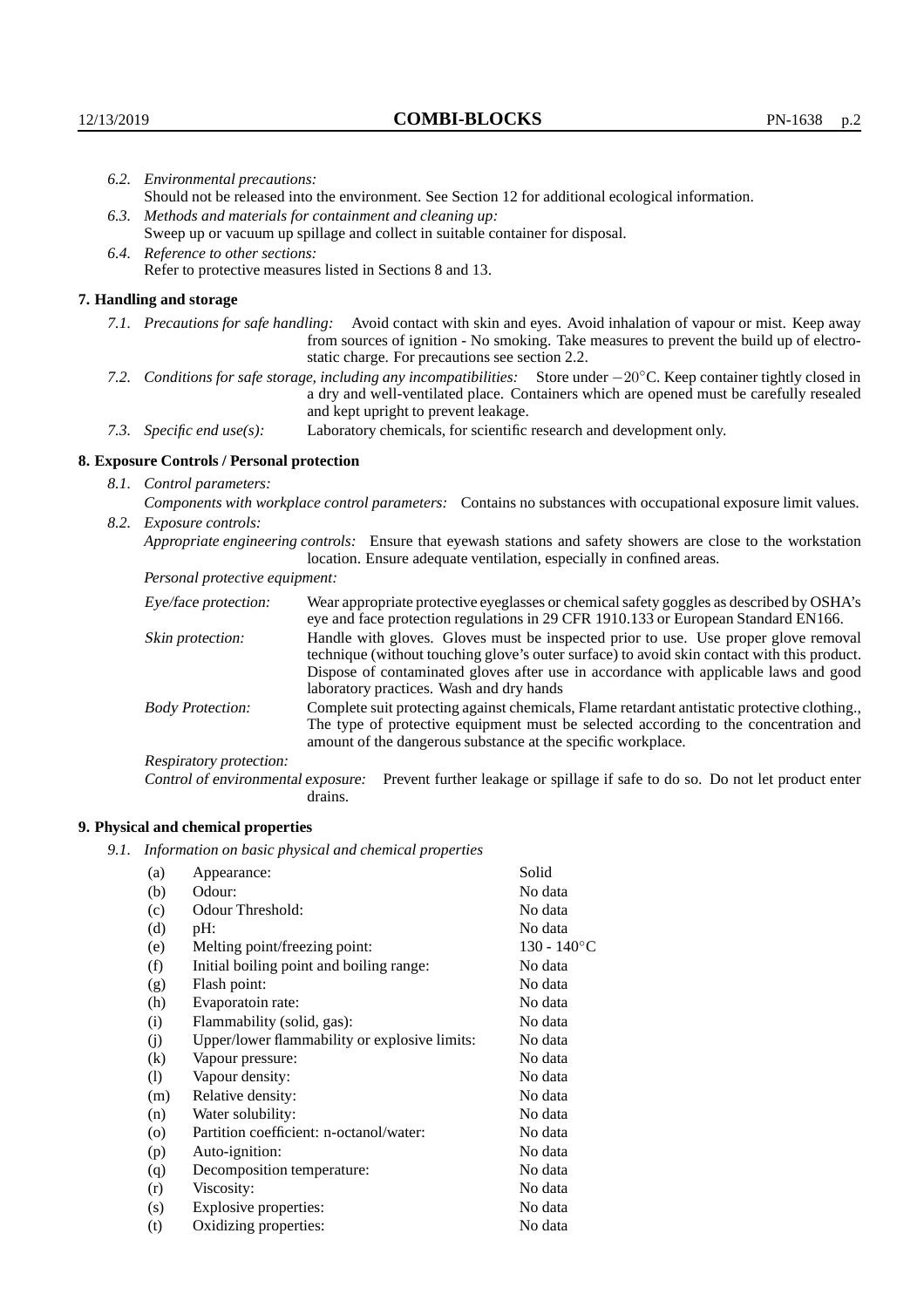|      | 6.2. Environmental precautions:                                                                                                                                                                                                                                    |                                                                                                                                                                                    |  |
|------|--------------------------------------------------------------------------------------------------------------------------------------------------------------------------------------------------------------------------------------------------------------------|------------------------------------------------------------------------------------------------------------------------------------------------------------------------------------|--|
|      |                                                                                                                                                                                                                                                                    | Should not be released into the environment. See Section 12 for additional ecological information.                                                                                 |  |
|      | 6.3. Methods and materials for containment and cleaning up:                                                                                                                                                                                                        |                                                                                                                                                                                    |  |
|      | Sweep up or vacuum up spillage and collect in suitable container for disposal.                                                                                                                                                                                     |                                                                                                                                                                                    |  |
|      | 6.4. Reference to other sections:                                                                                                                                                                                                                                  |                                                                                                                                                                                    |  |
|      | Refer to protective measures listed in Sections 8 and 13.                                                                                                                                                                                                          |                                                                                                                                                                                    |  |
|      | 7. Handling and storage                                                                                                                                                                                                                                            |                                                                                                                                                                                    |  |
|      | 7.1. Precautions for safe handling: Avoid contact with skin and eyes. Avoid inhalation of vapour or mist. Keep away<br>from sources of ignition - No smoking. Take measures to prevent the build up of electro-<br>static charge. For precautions see section 2.2. |                                                                                                                                                                                    |  |
| 7.2. | Conditions for safe storage, including any incompatibilities: Store under $-20^{\circ}$ C. Keep container tightly closed in<br>a dry and well-ventilated place. Containers which are opened must be carefully resealed<br>and kept upright to prevent leakage.     |                                                                                                                                                                                    |  |
|      | Laboratory chemicals, for scientific research and development only.<br>7.3. Specific end use(s):                                                                                                                                                                   |                                                                                                                                                                                    |  |
|      | 8. Exposure Controls / Personal protection                                                                                                                                                                                                                         |                                                                                                                                                                                    |  |
|      | 8.1. Control parameters:                                                                                                                                                                                                                                           |                                                                                                                                                                                    |  |
|      | Components with workplace control parameters: Contains no substances with occupational exposure limit values.                                                                                                                                                      |                                                                                                                                                                                    |  |
| 8.2. | Exposure controls:                                                                                                                                                                                                                                                 |                                                                                                                                                                                    |  |
|      | Appropriate engineering controls: Ensure that eyewash stations and safety showers are close to the workstation<br>location. Ensure adequate ventilation, especially in confined areas.                                                                             |                                                                                                                                                                                    |  |
|      | Personal protective equipment:                                                                                                                                                                                                                                     |                                                                                                                                                                                    |  |
|      | Eye/face protection:                                                                                                                                                                                                                                               | Wear appropriate protective eyeglasses or chemical safety goggles as described by OSHA's<br>eye and face protection regulations in 29 CFR 1910.133 or European Standard EN166.     |  |
|      | Skin protection:                                                                                                                                                                                                                                                   | Handle with gloves. Gloves must be inspected prior to use. Use proper glove removal<br>technique (without touching glove's outer surface) to avoid skin contact with this product. |  |

Dispose of contaminated gloves after use in accordance with applicable laws and good laboratory practices. Wash and dry hands Body Protection: Complete suit protecting against chemicals, Flame retardant antistatic protective clothing.,

The type of protective equipment must be selected according to the concentration and amount of the dangerous substance at the specific workplace.

Respiratory protection:

Control of environmental exposure: Prevent further leakage or spillage if safe to do so. Do not let product enter drains.

# **9. Physical and chemical properties**

*9.1. Information on basic physical and chemical properties*

| (a)               | Appearance:                                   | Solid          |
|-------------------|-----------------------------------------------|----------------|
| (b)               | Odour:                                        | No data        |
| (c)               | Odour Threshold:                              | No data        |
| (d)               | $pH$ :                                        | No data        |
| (e)               | Melting point/freezing point:                 | $130 - 140$ °C |
| (f)               | Initial boiling point and boiling range:      | No data        |
| (g)               | Flash point:                                  | No data        |
| (h)               | Evaporatoin rate:                             | No data        |
| (i)               | Flammability (solid, gas):                    | No data        |
| (j)               | Upper/lower flammability or explosive limits: | No data        |
| $\left( k\right)$ | Vapour pressure:                              | No data        |
| (1)               | Vapour density:                               | No data        |
| (m)               | Relative density:                             | No data        |
| (n)               | Water solubility:                             | No data        |
| $\circ$           | Partition coefficient: n-octanol/water:       | No data        |
| (p)               | Auto-ignition:                                | No data        |
| (q)               | Decomposition temperature:                    | No data        |
| (r)               | Viscosity:                                    | No data        |
| (s)               | Explosive properties:                         | No data        |
| (t)               | Oxidizing properties:                         | No data        |
|                   |                                               |                |